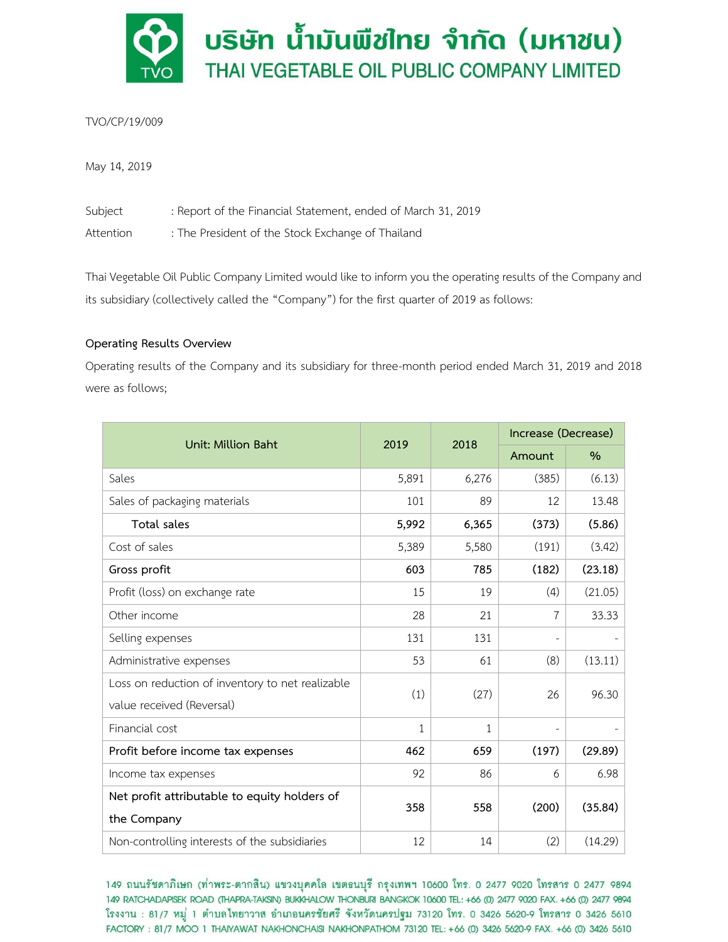

TVO/CP/19/009

May 14, 2019

Subject : Report of the Financial Statement, ended of March 31, 2019 Attention : The President of the Stock Exchange of Thailand

Thai Vegetable Oil Public Company Limited would like to inform you the operating results of the Company and its subsidiary (collectively called the "Company") for the first quarter of 2019 as follows:

# **Operating Results Overview**

Operating results of the Company and its subsidiary for three-month period ended March 31, 2019 and 2018 were as follows;

| Unit: Million Baht                               | 2019  | 2018  | Increase (Decrease) |               |
|--------------------------------------------------|-------|-------|---------------------|---------------|
|                                                  |       |       | Amount              | $\frac{0}{0}$ |
| Sales                                            | 5,891 | 6,276 | (385)               | (6.13)        |
| Sales of packaging materials                     | 101   | 89    | 12                  | 13.48         |
| Total sales                                      | 5,992 | 6,365 | (373)               | (5.86)        |
| Cost of sales                                    | 5,389 | 5,580 | (191)               | (3.42)        |
| Gross profit                                     | 603   | 785   | (182)               | (23.18)       |
| Profit (loss) on exchange rate                   | 15    | 19    | (4)                 | (21.05)       |
| Other income                                     | 28    | 21    | 7                   | 33.33         |
| Selling expenses                                 | 131   | 131   |                     |               |
| Administrative expenses                          | 53    | 61    | (8)                 | (13.11)       |
| Loss on reduction of inventory to net realizable | (1)   | (27)  | 26                  | 96.30         |
| value received (Reversal)                        |       |       |                     |               |
| Financial cost                                   | 1     | 1     |                     |               |
| Profit before income tax expenses                | 462   | 659   | (197)               | (29.89)       |
| Income tax expenses                              | 92    | 86    | 6                   | 6.98          |
| Net profit attributable to equity holders of     | 358   | 558   | (200)               | (35.84)       |
| the Company                                      |       |       |                     |               |
| Non-controlling interests of the subsidiaries    | 12    | 14    | (2)                 | (14.29)       |

149 ถนนรัชดาภิเษก (ท่าพระ-ตากสิน) แขวงบุคคโล เขตธนบุรี กรุงเทพฯ 10600 โทร. 0 2477 9020 โทรสาร 0 2477 9894 149 RATCHADAPISEK ROAD (THAPRA-TAKSIN) BUKKHALOW THONBURI BANGKOK 10600 TEL: +66 (0) 2477 9020 FAX. +66 (0) 2477 9894 โรงงาน : 81/7 หมู่ 1 ตำบลไทยาวาส อำเภอนครชัยศรี จังหวัดนครปฐม 73120 โทร. 0 3426 5620-9 โทรสาร 0 3426 5610 FACTORY: 81/7 MOO 1 THAIYAWAT NAKHONCHAISI NAKHONPATHOM 73120 TEL: +66 (0) 3426 5620-9 FAX. +66 (0) 3426 5610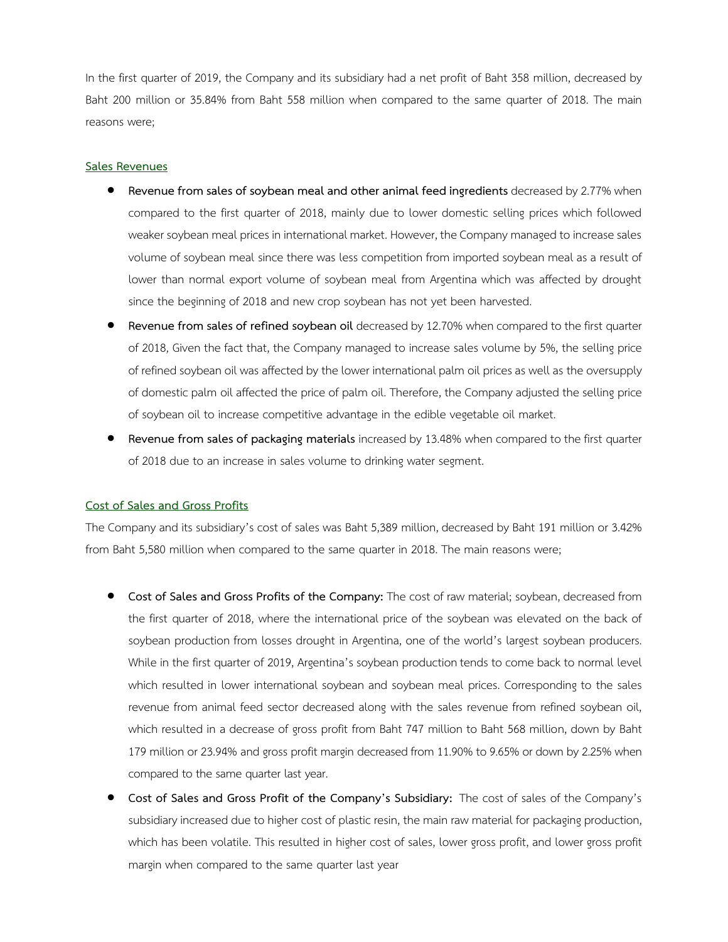In the first quarter of 2019, the Company and its subsidiary had a net profit of Baht 358 million, decreased by Baht 200 million or 35.84% from Baht 558 million when compared to the same quarter of 2018. The main reasons were;

# **Sales Revenues**

- **Revenue from sales of soybean meal and other animal feed ingredients** decreased by 2.77% when compared to the first quarter of 2018, mainly due to lower domestic selling prices which followed weaker soybean meal prices in international market. However, the Company managed to increase sales volume of soybean meal since there was less competition from imported soybean meal as a result of lower than normal export volume of soybean meal from Argentina which was affected by drought since the beginning of 2018 and new crop soybean has not yet been harvested.
- **Revenue from sales of refined soybean oil** decreased by 12.70% when compared to the first quarter of 2018, Given the fact that, the Company managed to increase sales volume by 5%, the selling price of refined soybean oil was affected by the lower international palm oil prices as well as the oversupply of domestic palm oil affected the price of palm oil. Therefore, the Company adjusted the selling price of soybean oil to increase competitive advantage in the edible vegetable oil market.
- **Revenue from sales of packaging materials** increased by 13.48% when compared to the first quarter of 2018 due to an increase in sales volume to drinking water segment.

### **Cost of Sales and Gross Profits**

The Company and its subsidiary's cost of sales was Baht 5,389 million, decreased by Baht 191 million or 3.42% from Baht 5,580 million when compared to the same quarter in 2018. The main reasons were;

- **Cost of Sales and Gross Profits of the Company:** The cost of raw material; soybean, decreased from the first quarter of 2018, where the international price of the soybean was elevated on the back of soybean production from losses drought in Argentina, one of the world's largest soybean producers. While in the first quarter of 2019, Argentina's soybean production tends to come back to normal level which resulted in lower international soybean and soybean meal prices. Corresponding to the sales revenue from animal feed sector decreased along with the sales revenue from refined soybean oil, which resulted in a decrease of gross profit from Baht 747 million to Baht 568 million, down by Baht 179 million or 23.94% and gross profit margin decreased from 11.90% to 9.65% or down by 2.25% when compared to the same quarter last year.
- **Cost of Sales and Gross Profit of the Company's Subsidiary:** The cost of sales of the Company's subsidiary increased due to higher cost of plastic resin, the main raw material for packaging production, which has been volatile. This resulted in higher cost of sales, lower gross profit, and lower gross profit margin when compared to the same quarter last year